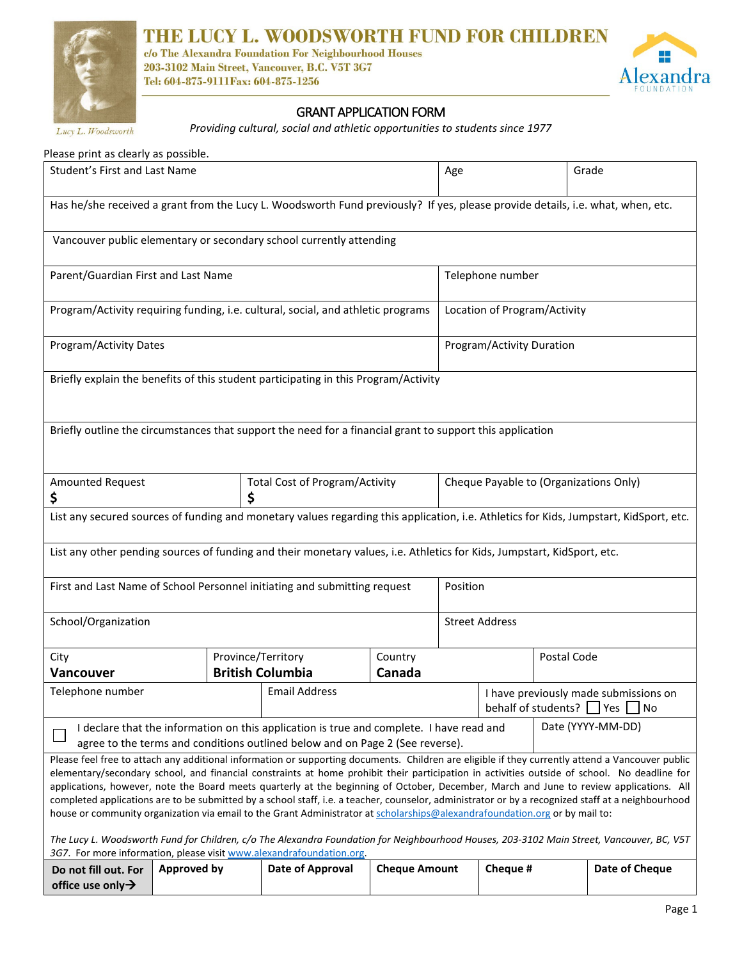

# THE LUCY L. WOODSWORTH FUND FOR CHILDREN

c/o The Alexandra Foundation For Neighbourhood Houses<br>203-3102 Main Street, Vancouver, B.C. V5T 3G7 Tel: 604-875-9111Fax: 604-875-1256



Lucy L. Woodsworth

## $\overline{a}$ GRANT APPLICATION FORM

*Providing cultural, social and athletic opportunities to students since 1977*

| Please print as clearly as possible.                                                                                                                                                                                                                                                                                                                                                                                                                                                                                                                                                                                                                                                                                             |                    |                                               |                                       |     |                                                                                      |             |                |  |
|----------------------------------------------------------------------------------------------------------------------------------------------------------------------------------------------------------------------------------------------------------------------------------------------------------------------------------------------------------------------------------------------------------------------------------------------------------------------------------------------------------------------------------------------------------------------------------------------------------------------------------------------------------------------------------------------------------------------------------|--------------------|-----------------------------------------------|---------------------------------------|-----|--------------------------------------------------------------------------------------|-------------|----------------|--|
| Student's First and Last Name                                                                                                                                                                                                                                                                                                                                                                                                                                                                                                                                                                                                                                                                                                    |                    |                                               |                                       | Age |                                                                                      |             | Grade          |  |
| Has he/she received a grant from the Lucy L. Woodsworth Fund previously? If yes, please provide details, i.e. what, when, etc.                                                                                                                                                                                                                                                                                                                                                                                                                                                                                                                                                                                                   |                    |                                               |                                       |     |                                                                                      |             |                |  |
| Vancouver public elementary or secondary school currently attending                                                                                                                                                                                                                                                                                                                                                                                                                                                                                                                                                                                                                                                              |                    |                                               |                                       |     |                                                                                      |             |                |  |
| Parent/Guardian First and Last Name                                                                                                                                                                                                                                                                                                                                                                                                                                                                                                                                                                                                                                                                                              |                    |                                               |                                       |     | Telephone number                                                                     |             |                |  |
| Program/Activity requiring funding, i.e. cultural, social, and athletic programs                                                                                                                                                                                                                                                                                                                                                                                                                                                                                                                                                                                                                                                 |                    |                                               |                                       |     | Location of Program/Activity                                                         |             |                |  |
| Program/Activity Dates                                                                                                                                                                                                                                                                                                                                                                                                                                                                                                                                                                                                                                                                                                           |                    |                                               |                                       |     | Program/Activity Duration                                                            |             |                |  |
| Briefly explain the benefits of this student participating in this Program/Activity                                                                                                                                                                                                                                                                                                                                                                                                                                                                                                                                                                                                                                              |                    |                                               |                                       |     |                                                                                      |             |                |  |
| Briefly outline the circumstances that support the need for a financial grant to support this application                                                                                                                                                                                                                                                                                                                                                                                                                                                                                                                                                                                                                        |                    |                                               |                                       |     |                                                                                      |             |                |  |
| Amounted Request<br>\$                                                                                                                                                                                                                                                                                                                                                                                                                                                                                                                                                                                                                                                                                                           |                    | \$                                            | <b>Total Cost of Program/Activity</b> |     | Cheque Payable to (Organizations Only)                                               |             |                |  |
| List any secured sources of funding and monetary values regarding this application, i.e. Athletics for Kids, Jumpstart, KidSport, etc.                                                                                                                                                                                                                                                                                                                                                                                                                                                                                                                                                                                           |                    |                                               |                                       |     |                                                                                      |             |                |  |
| List any other pending sources of funding and their monetary values, i.e. Athletics for Kids, Jumpstart, KidSport, etc.                                                                                                                                                                                                                                                                                                                                                                                                                                                                                                                                                                                                          |                    |                                               |                                       |     |                                                                                      |             |                |  |
| First and Last Name of School Personnel initiating and submitting request                                                                                                                                                                                                                                                                                                                                                                                                                                                                                                                                                                                                                                                        |                    |                                               |                                       |     | Position                                                                             |             |                |  |
| School/Organization                                                                                                                                                                                                                                                                                                                                                                                                                                                                                                                                                                                                                                                                                                              |                    |                                               |                                       |     | <b>Street Address</b>                                                                |             |                |  |
| City<br><b>Vancouver</b>                                                                                                                                                                                                                                                                                                                                                                                                                                                                                                                                                                                                                                                                                                         |                    | Province/Territory<br><b>British Columbia</b> | Country<br>Canada                     |     |                                                                                      | Postal Code |                |  |
| Telephone number                                                                                                                                                                                                                                                                                                                                                                                                                                                                                                                                                                                                                                                                                                                 |                    | <b>Email Address</b>                          |                                       |     | I have previously made submissions on<br>behalf of students? $\Box$ Yes $\Box$<br>No |             |                |  |
| Date (YYYY-MM-DD)<br>I declare that the information on this application is true and complete. I have read and<br>$\Box$<br>agree to the terms and conditions outlined below and on Page 2 (See reverse).                                                                                                                                                                                                                                                                                                                                                                                                                                                                                                                         |                    |                                               |                                       |     |                                                                                      |             |                |  |
| Please feel free to attach any additional information or supporting documents. Children are eligible if they currently attend a Vancouver public<br>elementary/secondary school, and financial constraints at home prohibit their participation in activities outside of school. No deadline for<br>applications, however, note the Board meets quarterly at the beginning of October, December, March and June to review applications. All<br>completed applications are to be submitted by a school staff, i.e. a teacher, counselor, administrator or by a recognized staff at a neighbourhood<br>house or community organization via email to the Grant Administrator at scholarships@alexandrafoundation.org or by mail to: |                    |                                               |                                       |     |                                                                                      |             |                |  |
| The Lucy L. Woodsworth Fund for Children, c/o The Alexandra Foundation for Neighbourhood Houses, 203-3102 Main Street, Vancouver, BC, V5T<br>3G7. For more information, please visit www.alexandrafoundation.org.                                                                                                                                                                                                                                                                                                                                                                                                                                                                                                                |                    |                                               |                                       |     |                                                                                      |             |                |  |
| Do not fill out. For<br>office use only $\rightarrow$                                                                                                                                                                                                                                                                                                                                                                                                                                                                                                                                                                                                                                                                            | <b>Approved by</b> | Date of Approval                              | <b>Cheque Amount</b>                  |     | Cheque #                                                                             |             | Date of Cheque |  |